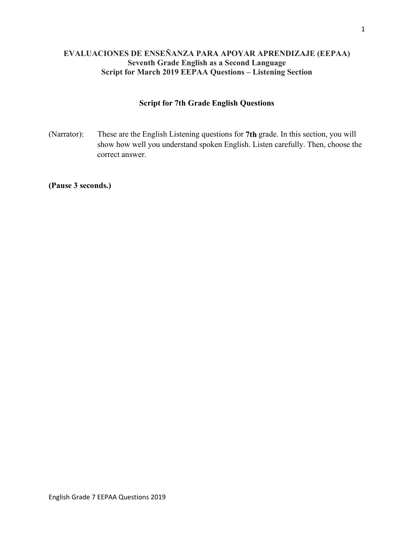# **EVALUACIONES DE ENSEÑANZA PARA APOYAR APRENDIZAJE (EEPAA) Seventh Grade English as a Second Language Script for March 2019 EEPAA Questions – Listening Section**

## **Script for 7th Grade English Questions**

(Narrator): These are the English Listening questions for **7th** grade. In this section, you will show how well you understand spoken English. Listen carefully. Then, choose the correct answer.

**(Pause 3 seconds.)**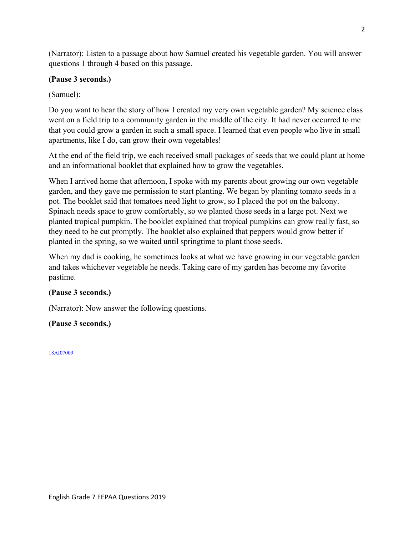(Narrator): Listen to a passage about how Samuel created his vegetable garden. You will answer questions 1 through 4 based on this passage.

# **(Pause 3 seconds.)**

# (Samuel):

Do you want to hear the story of how I created my very own vegetable garden? My science class went on a field trip to a community garden in the middle of the city. It had never occurred to me that you could grow a garden in such a small space. I learned that even people who live in small apartments, like I do, can grow their own vegetables!

At the end of the field trip, we each received small packages of seeds that we could plant at home and an informational booklet that explained how to grow the vegetables.

When I arrived home that afternoon, I spoke with my parents about growing our own vegetable garden, and they gave me permission to start planting. We began by planting tomato seeds in a pot. The booklet said that tomatoes need light to grow, so I placed the pot on the balcony. Spinach needs space to grow comfortably, so we planted those seeds in a large pot. Next we planted tropical pumpkin. The booklet explained that tropical pumpkins can grow really fast, so they need to be cut promptly. The booklet also explained that peppers would grow better if planted in the spring, so we waited until springtime to plant those seeds.

When my dad is cooking, he sometimes looks at what we have growing in our vegetable garden and takes whichever vegetable he needs. Taking care of my garden has become my favorite pastime.

## **(Pause 3 seconds.)**

(Narrator): Now answer the following questions.

# **(Pause 3 seconds.)**

18AI07009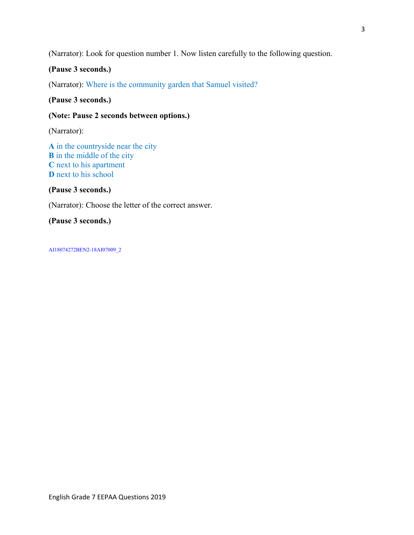(Narrator): Look for question number 1. Now listen carefully to the following question.

## **(Pause 3 seconds.)**

(Narrator): Where is the community garden that Samuel visited?

### **(Pause 3 seconds.)**

### **(Note: Pause 2 seconds between options.)**

(Narrator):

**A** in the countryside near the city **B** in the middle of the city **C** next to his apartment **D** next to his school

**(Pause 3 seconds.)** 

(Narrator): Choose the letter of the correct answer.

## **(Pause 3 seconds.)**

AI18074272BEN2-18AI07009\_2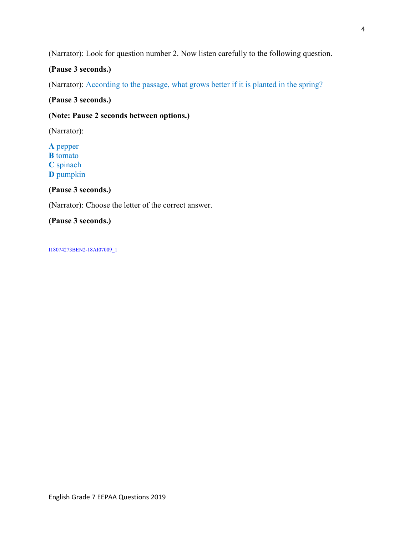(Narrator): Look for question number 2. Now listen carefully to the following question.

# **(Pause 3 seconds.)**

(Narrator): According to the passage, what grows better if it is planted in the spring?

**(Pause 3 seconds.)** 

### **(Note: Pause 2 seconds between options.)**

(Narrator):

**A** pepper **B** tomato **C** spinach **D** pumpkin

**(Pause 3 seconds.)** 

(Narrator): Choose the letter of the correct answer.

**(Pause 3 seconds.)** 

I18074273BEN2-18AI07009\_1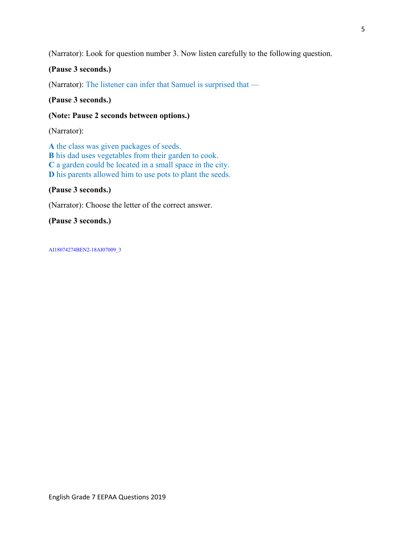(Narrator): Look for question number 3. Now listen carefully to the following question.

## **(Pause 3 seconds.)**

(Narrator): The listener can infer that Samuel is surprised that —

**(Pause 3 seconds.)** 

**(Note: Pause 2 seconds between options.)** 

(Narrator):

**A** the class was given packages of seeds. **B** his dad uses vegetables from their garden to cook. **C** a garden could be located in a small space in the city. **D** his parents allowed him to use pots to plant the seeds.

#### **(Pause 3 seconds.)**

(Narrator): Choose the letter of the correct answer.

**(Pause 3 seconds.)** 

AI18074274BEN2-18AI07009\_3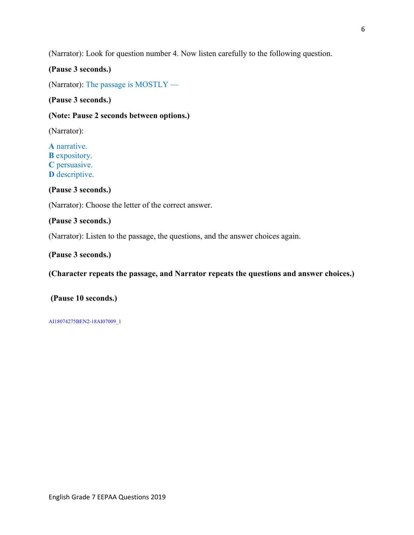(Narrator): Look for question number 4. Now listen carefully to the following question.

#### **(Pause 3 seconds.)**

(Narrator): The passage is MOSTLY —

**(Pause 3 seconds.)** 

### **(Note: Pause 2 seconds between options.)**

(Narrator):

**A** narrative. **B** expository. **C** persuasive. **D** descriptive.

**(Pause 3 seconds.)** 

(Narrator): Choose the letter of the correct answer.

#### **(Pause 3 seconds.)**

(Narrator): Listen to the passage, the questions, and the answer choices again.

#### **(Pause 3 seconds.)**

**(Character repeats the passage, and Narrator repeats the questions and answer choices.)** 

#### **(Pause 10 seconds.)**

AI18074275BEN2-18AI07009\_1